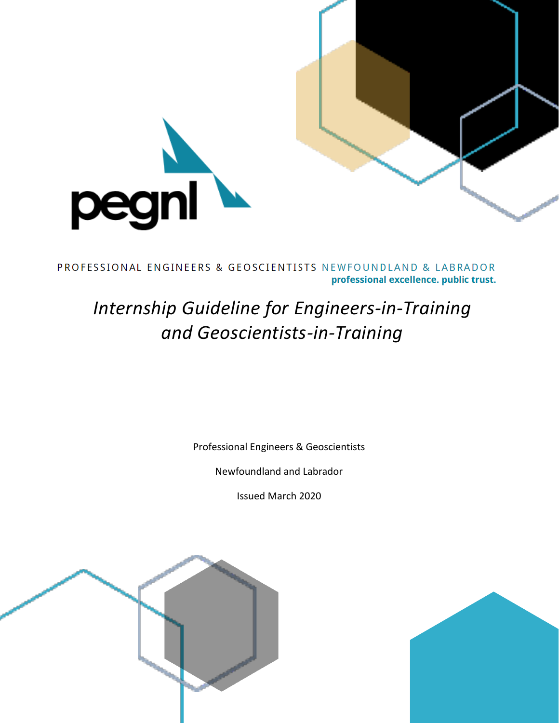

PROFESSIONAL ENGINEERS & GEOSCIENTISTS NEWFOUNDLAND & LABRADOR professional excellence. public trust.

# *Internship Guideline for Engineers-in-Training and Geoscientists-in-Training*

Professional Engineers & Geoscientists

Newfoundland and Labrador

Issued March 2020



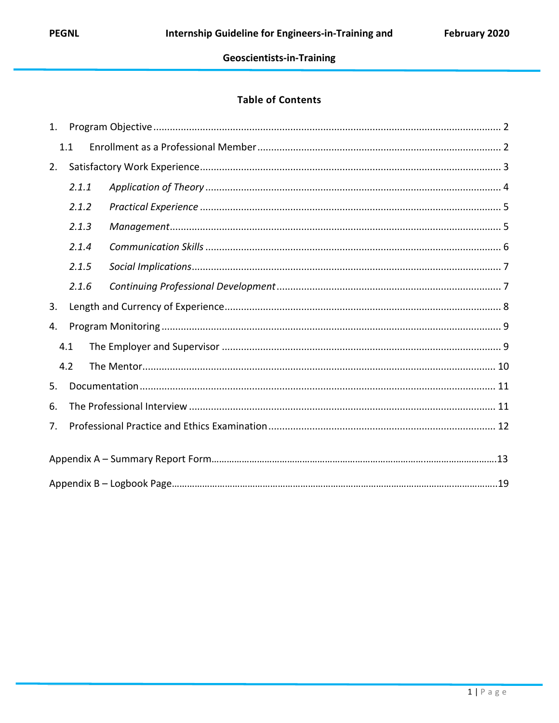### **Table of Contents**

| $\mathbf{1}$ . |       |  |  |  |  |
|----------------|-------|--|--|--|--|
|                | 1.1   |  |  |  |  |
| 2.             |       |  |  |  |  |
|                | 2.1.1 |  |  |  |  |
|                | 2.1.2 |  |  |  |  |
|                | 2.1.3 |  |  |  |  |
|                | 2.1.4 |  |  |  |  |
|                | 2.1.5 |  |  |  |  |
|                | 2.1.6 |  |  |  |  |
| 3.             |       |  |  |  |  |
| 4.             |       |  |  |  |  |
|                | 4.1   |  |  |  |  |
|                | 4.2   |  |  |  |  |
| 5.             |       |  |  |  |  |
| 6.             |       |  |  |  |  |
| 7.             |       |  |  |  |  |
|                |       |  |  |  |  |
|                |       |  |  |  |  |
|                |       |  |  |  |  |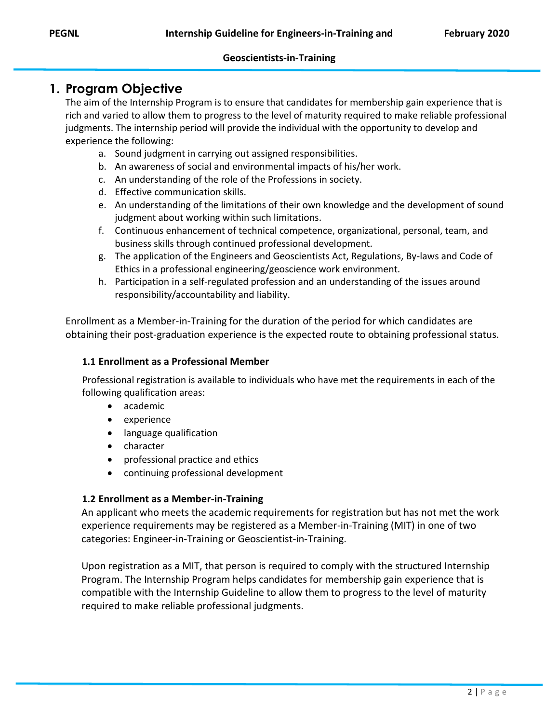### <span id="page-2-0"></span>**1. Program Objective**

The aim of the Internship Program is to ensure that candidates for membership gain experience that is rich and varied to allow them to progress to the level of maturity required to make reliable professional judgments. The internship period will provide the individual with the opportunity to develop and experience the following:

- a. Sound judgment in carrying out assigned responsibilities.
- b. An awareness of social and environmental impacts of his/her work.
- c. An understanding of the role of the Professions in society.
- d. Effective communication skills.
- e. An understanding of the limitations of their own knowledge and the development of sound judgment about working within such limitations.
- f. Continuous enhancement of technical competence, organizational, personal, team, and business skills through continued professional development.
- g. The application of the Engineers and Geoscientists Act, Regulations, By-laws and Code of Ethics in a professional engineering/geoscience work environment.
- h. Participation in a self-regulated profession and an understanding of the issues around responsibility/accountability and liability.

Enrollment as a Member-in-Training for the duration of the period for which candidates are obtaining their post-graduation experience is the expected route to obtaining professional status.

#### <span id="page-2-1"></span>**1.1 Enrollment as a Professional Member**

Professional registration is available to individuals who have met the requirements in each of the following qualification areas:

- academic
- experience
- language qualification
- character
- professional practice and ethics
- continuing professional development

#### **1.2 Enrollment as a Member-in-Training**

An applicant who meets the academic requirements for registration but has not met the work experience requirements may be registered as a Member-in-Training (MIT) in one of two categories: Engineer-in-Training or Geoscientist-in-Training.

Upon registration as a MIT, that person is required to comply with the structured Internship Program. The Internship Program helps candidates for membership gain experience that is compatible with the Internship Guideline to allow them to progress to the level of maturity required to make reliable professional judgments.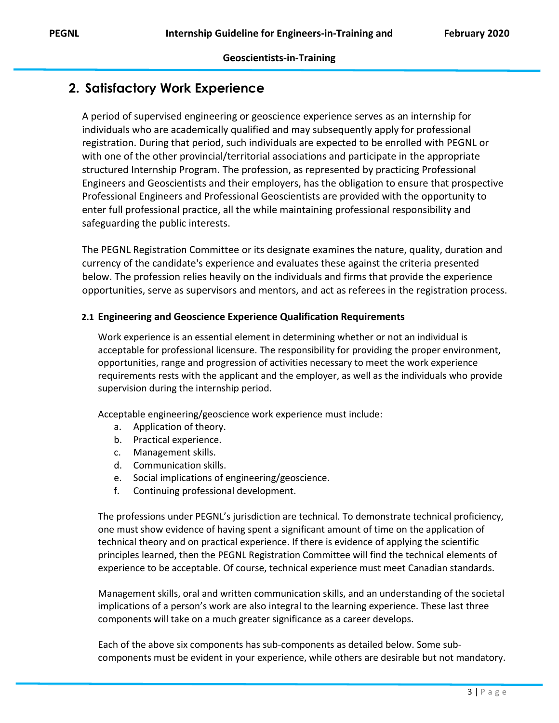### <span id="page-3-0"></span>**2. Satisfactory Work Experience**

A period of supervised engineering or geoscience experience serves as an internship for individuals who are academically qualified and may subsequently apply for professional registration. During that period, such individuals are expected to be enrolled with PEGNL or with one of the other provincial/territorial associations and participate in the appropriate structured Internship Program. The profession, as represented by practicing Professional Engineers and Geoscientists and their employers, has the obligation to ensure that prospective Professional Engineers and Professional Geoscientists are provided with the opportunity to enter full professional practice, all the while maintaining professional responsibility and safeguarding the public interests.

The PEGNL Registration Committee or its designate examines the nature, quality, duration and currency of the candidate's experience and evaluates these against the criteria presented below. The profession relies heavily on the individuals and firms that provide the experience opportunities, serve as supervisors and mentors, and act as referees in the registration process.

#### **2.1 Engineering and Geoscience Experience Qualification Requirements**

Work experience is an essential element in determining whether or not an individual is acceptable for professional licensure. The responsibility for providing the proper environment, opportunities, range and progression of activities necessary to meet the work experience requirements rests with the applicant and the employer, as well as the individuals who provide supervision during the internship period.

Acceptable engineering/geoscience work experience must include:

- a. Application of theory.
- b. Practical experience.
- c. Management skills.
- d. Communication skills.
- e. Social implications of engineering/geoscience.
- f. Continuing professional development.

The professions under PEGNL's jurisdiction are technical. To demonstrate technical proficiency, one must show evidence of having spent a significant amount of time on the application of technical theory and on practical experience. If there is evidence of applying the scientific principles learned, then the PEGNL Registration Committee will find the technical elements of experience to be acceptable. Of course, technical experience must meet Canadian standards.

Management skills, oral and written communication skills, and an understanding of the societal implications of a person's work are also integral to the learning experience. These last three components will take on a much greater significance as a career develops.

Each of the above six components has sub-components as detailed below. Some subcomponents must be evident in your experience, while others are desirable but not mandatory.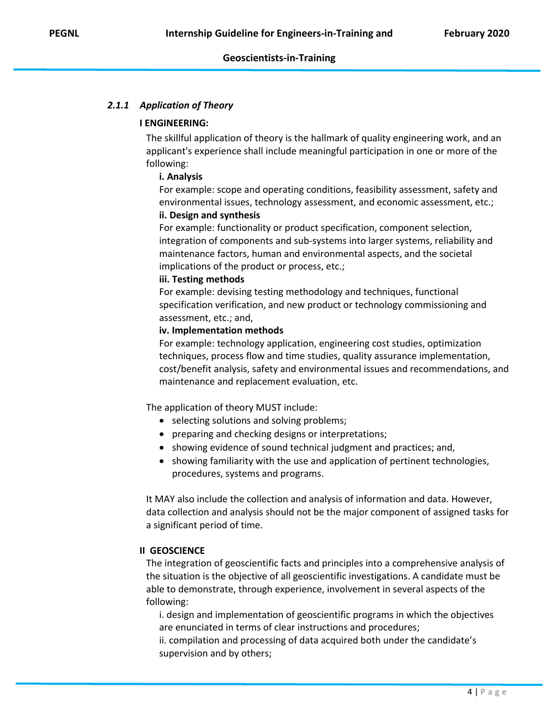#### <span id="page-4-0"></span>*2.1.1 Application of Theory*

#### **I ENGINEERING:**

The skillful application of theory is the hallmark of quality engineering work, and an applicant's experience shall include meaningful participation in one or more of the following:

#### **i. Analysis**

For example: scope and operating conditions, feasibility assessment, safety and environmental issues, technology assessment, and economic assessment, etc.;

#### **ii. Design and synthesis**

For example: functionality or product specification, component selection, integration of components and sub-systems into larger systems, reliability and maintenance factors, human and environmental aspects, and the societal implications of the product or process, etc.;

#### **iii. Testing methods**

For example: devising testing methodology and techniques, functional specification verification, and new product or technology commissioning and assessment, etc.; and,

#### **iv. Implementation methods**

For example: technology application, engineering cost studies, optimization techniques, process flow and time studies, quality assurance implementation, cost/benefit analysis, safety and environmental issues and recommendations, and maintenance and replacement evaluation, etc.

The application of theory MUST include:

- selecting solutions and solving problems;
- preparing and checking designs or interpretations;
- showing evidence of sound technical judgment and practices; and,
- showing familiarity with the use and application of pertinent technologies, procedures, systems and programs.

It MAY also include the collection and analysis of information and data. However, data collection and analysis should not be the major component of assigned tasks for a significant period of time.

#### **II GEOSCIENCE**

The integration of geoscientific facts and principles into a comprehensive analysis of the situation is the objective of all geoscientific investigations. A candidate must be able to demonstrate, through experience, involvement in several aspects of the following:

i. design and implementation of geoscientific programs in which the objectives are enunciated in terms of clear instructions and procedures;

ii. compilation and processing of data acquired both under the candidate's supervision and by others;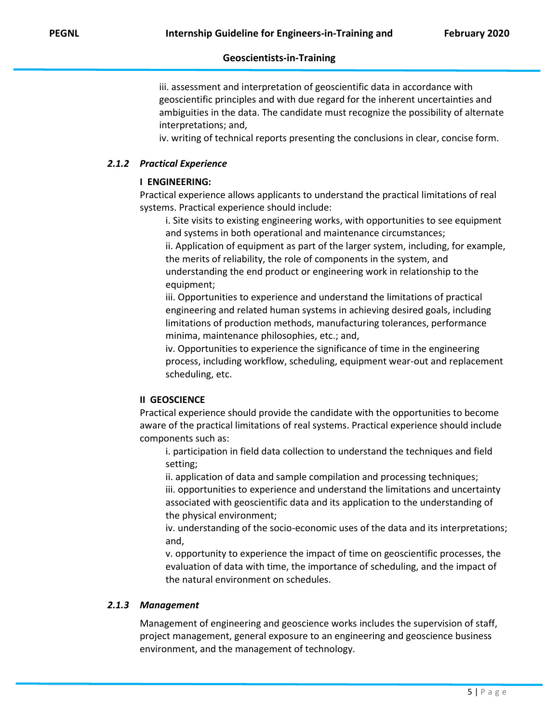iii. assessment and interpretation of geoscientific data in accordance with geoscientific principles and with due regard for the inherent uncertainties and ambiguities in the data. The candidate must recognize the possibility of alternate interpretations; and,

iv. writing of technical reports presenting the conclusions in clear, concise form.

#### <span id="page-5-0"></span>*2.1.2 Practical Experience*

#### **I ENGINEERING:**

Practical experience allows applicants to understand the practical limitations of real systems. Practical experience should include:

i. Site visits to existing engineering works, with opportunities to see equipment and systems in both operational and maintenance circumstances;

ii. Application of equipment as part of the larger system, including, for example, the merits of reliability, the role of components in the system, and understanding the end product or engineering work in relationship to the equipment;

iii. Opportunities to experience and understand the limitations of practical engineering and related human systems in achieving desired goals, including limitations of production methods, manufacturing tolerances, performance minima, maintenance philosophies, etc.; and,

iv. Opportunities to experience the significance of time in the engineering process, including workflow, scheduling, equipment wear-out and replacement scheduling, etc.

#### **II GEOSCIENCE**

Practical experience should provide the candidate with the opportunities to become aware of the practical limitations of real systems. Practical experience should include components such as:

i. participation in field data collection to understand the techniques and field setting;

ii. application of data and sample compilation and processing techniques; iii. opportunities to experience and understand the limitations and uncertainty associated with geoscientific data and its application to the understanding of the physical environment;

iv. understanding of the socio-economic uses of the data and its interpretations; and,

v. opportunity to experience the impact of time on geoscientific processes, the evaluation of data with time, the importance of scheduling, and the impact of the natural environment on schedules.

#### <span id="page-5-1"></span>*2.1.3 Management*

Management of engineering and geoscience works includes the supervision of staff, project management, general exposure to an engineering and geoscience business environment, and the management of technology.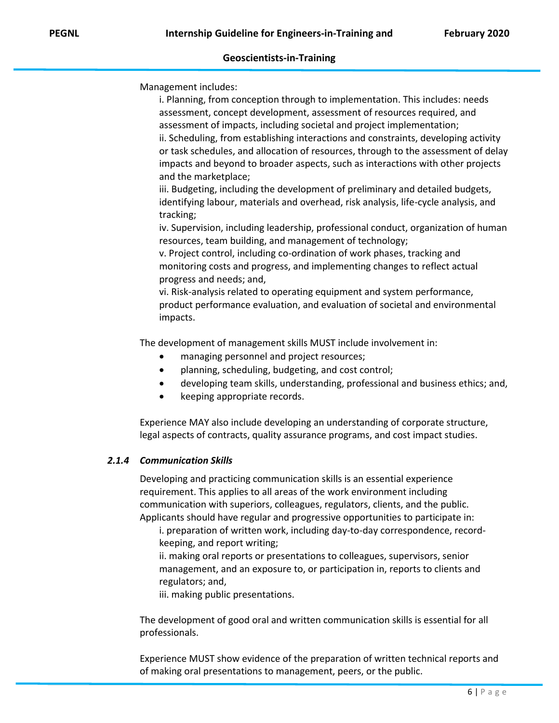Management includes:

i. Planning, from conception through to implementation. This includes: needs assessment, concept development, assessment of resources required, and assessment of impacts, including societal and project implementation; ii. Scheduling, from establishing interactions and constraints, developing activity or task schedules, and allocation of resources, through to the assessment of delay impacts and beyond to broader aspects, such as interactions with other projects and the marketplace;

iii. Budgeting, including the development of preliminary and detailed budgets, identifying labour, materials and overhead, risk analysis, life-cycle analysis, and tracking;

iv. Supervision, including leadership, professional conduct, organization of human resources, team building, and management of technology;

v. Project control, including co-ordination of work phases, tracking and monitoring costs and progress, and implementing changes to reflect actual progress and needs; and,

vi. Risk-analysis related to operating equipment and system performance, product performance evaluation, and evaluation of societal and environmental impacts.

The development of management skills MUST include involvement in:

- managing personnel and project resources;
- planning, scheduling, budgeting, and cost control;
- developing team skills, understanding, professional and business ethics; and,
- keeping appropriate records.

Experience MAY also include developing an understanding of corporate structure, legal aspects of contracts, quality assurance programs, and cost impact studies.

#### <span id="page-6-0"></span>*2.1.4 Communication Skills*

Developing and practicing communication skills is an essential experience requirement. This applies to all areas of the work environment including communication with superiors, colleagues, regulators, clients, and the public. Applicants should have regular and progressive opportunities to participate in:

i. preparation of written work, including day-to-day correspondence, recordkeeping, and report writing;

ii. making oral reports or presentations to colleagues, supervisors, senior management, and an exposure to, or participation in, reports to clients and regulators; and,

iii. making public presentations.

The development of good oral and written communication skills is essential for all professionals.

Experience MUST show evidence of the preparation of written technical reports and of making oral presentations to management, peers, or the public.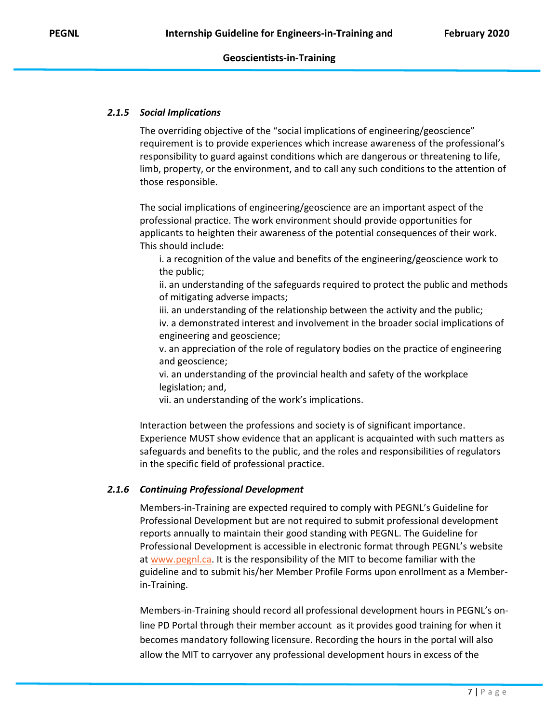#### <span id="page-7-0"></span>*2.1.5 Social Implications*

The overriding objective of the "social implications of engineering/geoscience" requirement is to provide experiences which increase awareness of the professional's responsibility to guard against conditions which are dangerous or threatening to life, limb, property, or the environment, and to call any such conditions to the attention of those responsible.

The social implications of engineering/geoscience are an important aspect of the professional practice. The work environment should provide opportunities for applicants to heighten their awareness of the potential consequences of their work. This should include:

i. a recognition of the value and benefits of the engineering/geoscience work to the public;

ii. an understanding of the safeguards required to protect the public and methods of mitigating adverse impacts;

iii. an understanding of the relationship between the activity and the public; iv. a demonstrated interest and involvement in the broader social implications of engineering and geoscience;

v. an appreciation of the role of regulatory bodies on the practice of engineering and geoscience;

vi. an understanding of the provincial health and safety of the workplace legislation; and,

vii. an understanding of the work's implications.

Interaction between the professions and society is of significant importance. Experience MUST show evidence that an applicant is acquainted with such matters as safeguards and benefits to the public, and the roles and responsibilities of regulators in the specific field of professional practice.

#### <span id="page-7-1"></span>*2.1.6 Continuing Professional Development*

Members-in-Training are expected required to comply with PEGNL's Guideline for Professional Development but are not required to submit professional development reports annually to maintain their good standing with PEGNL. The Guideline for Professional Development is accessible in electronic format through PEGNL's website at [www.pegnl.ca.](http://www.pegnl.ca/) It is the responsibility of the MIT to become familiar with the guideline and to submit his/her Member Profile Forms upon enrollment as a Memberin-Training.

Members-in-Training should record all professional development hours in PEGNL's online PD Portal through their member account as it provides good training for when it becomes mandatory following licensure. Recording the hours in the portal will also allow the MIT to carryover any professional development hours in excess of the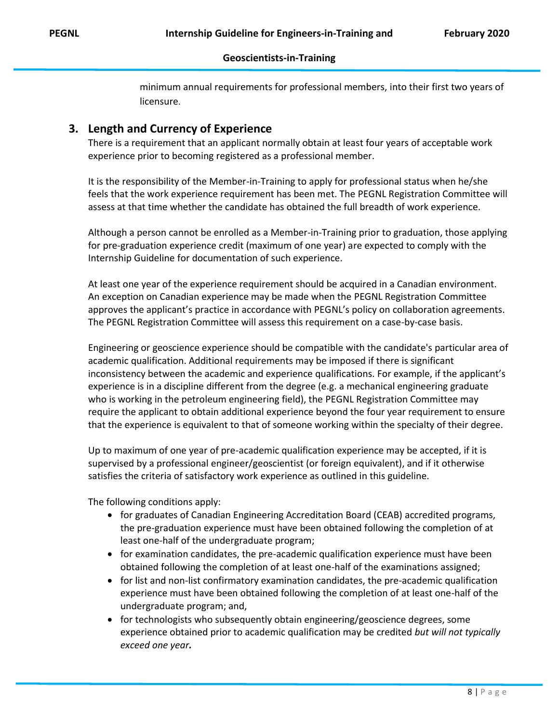minimum annual requirements for professional members, into their first two years of licensure.

#### <span id="page-8-0"></span>**3. Length and Currency of Experience**

There is a requirement that an applicant normally obtain at least four years of acceptable work experience prior to becoming registered as a professional member.

It is the responsibility of the Member-in-Training to apply for professional status when he/she feels that the work experience requirement has been met. The PEGNL Registration Committee will assess at that time whether the candidate has obtained the full breadth of work experience.

Although a person cannot be enrolled as a Member-in-Training prior to graduation, those applying for pre-graduation experience credit (maximum of one year) are expected to comply with the Internship Guideline for documentation of such experience.

At least one year of the experience requirement should be acquired in a Canadian environment. An exception on Canadian experience may be made when the PEGNL Registration Committee approves the applicant's practice in accordance with PEGNL's policy on collaboration agreements. The PEGNL Registration Committee will assess this requirement on a case-by-case basis.

Engineering or geoscience experience should be compatible with the candidate's particular area of academic qualification. Additional requirements may be imposed if there is significant inconsistency between the academic and experience qualifications. For example, if the applicant's experience is in a discipline different from the degree (e.g. a mechanical engineering graduate who is working in the petroleum engineering field), the PEGNL Registration Committee may require the applicant to obtain additional experience beyond the four year requirement to ensure that the experience is equivalent to that of someone working within the specialty of their degree.

Up to maximum of one year of pre-academic qualification experience may be accepted, if it is supervised by a professional engineer/geoscientist (or foreign equivalent), and if it otherwise satisfies the criteria of satisfactory work experience as outlined in this guideline.

The following conditions apply:

- for graduates of Canadian Engineering Accreditation Board (CEAB) accredited programs, the pre-graduation experience must have been obtained following the completion of at least one-half of the undergraduate program;
- for examination candidates, the pre-academic qualification experience must have been obtained following the completion of at least one-half of the examinations assigned;
- for list and non-list confirmatory examination candidates, the pre-academic qualification experience must have been obtained following the completion of at least one-half of the undergraduate program; and,
- for technologists who subsequently obtain engineering/geoscience degrees, some experience obtained prior to academic qualification may be credited *but will not typically exceed one year.*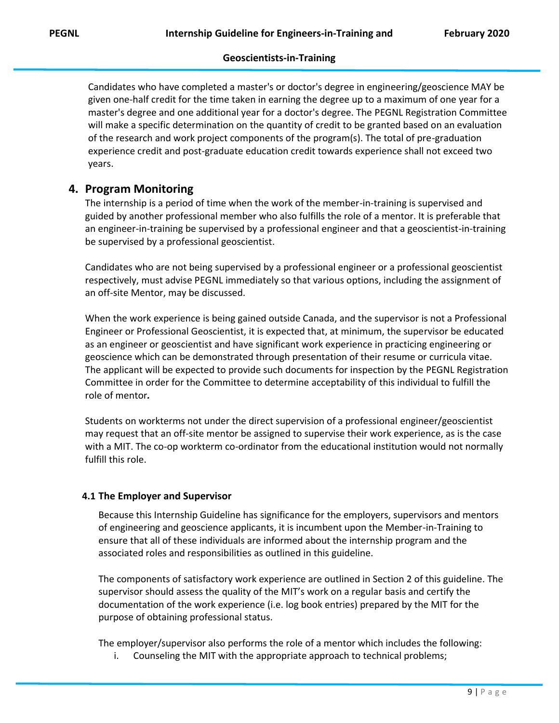Candidates who have completed a master's or doctor's degree in engineering/geoscience MAY be given one-half credit for the time taken in earning the degree up to a maximum of one year for a master's degree and one additional year for a doctor's degree. The PEGNL Registration Committee will make a specific determination on the quantity of credit to be granted based on an evaluation of the research and work project components of the program(s). The total of pre-graduation experience credit and post-graduate education credit towards experience shall not exceed two years.

#### <span id="page-9-0"></span>**4. Program Monitoring**

The internship is a period of time when the work of the member-in-training is supervised and guided by another professional member who also fulfills the role of a mentor. It is preferable that an engineer-in-training be supervised by a professional engineer and that a geoscientist-in-training be supervised by a professional geoscientist.

Candidates who are not being supervised by a professional engineer or a professional geoscientist respectively, must advise PEGNL immediately so that various options, including the assignment of an off-site Mentor, may be discussed.

When the work experience is being gained outside Canada, and the supervisor is not a Professional Engineer or Professional Geoscientist, it is expected that, at minimum, the supervisor be educated as an engineer or geoscientist and have significant work experience in practicing engineering or geoscience which can be demonstrated through presentation of their resume or curricula vitae. The applicant will be expected to provide such documents for inspection by the PEGNL Registration Committee in order for the Committee to determine acceptability of this individual to fulfill the role of mentor*.*

Students on workterms not under the direct supervision of a professional engineer/geoscientist may request that an off-site mentor be assigned to supervise their work experience, as is the case with a MIT. The co-op workterm co-ordinator from the educational institution would not normally fulfill this role.

#### <span id="page-9-1"></span>**4.1 The Employer and Supervisor**

Because this Internship Guideline has significance for the employers, supervisors and mentors of engineering and geoscience applicants, it is incumbent upon the Member-in-Training to ensure that all of these individuals are informed about the internship program and the associated roles and responsibilities as outlined in this guideline.

The components of satisfactory work experience are outlined in Section 2 of this guideline. The supervisor should assess the quality of the MIT's work on a regular basis and certify the documentation of the work experience (i.e. log book entries) prepared by the MIT for the purpose of obtaining professional status.

The employer/supervisor also performs the role of a mentor which includes the following:

i. Counseling the MIT with the appropriate approach to technical problems;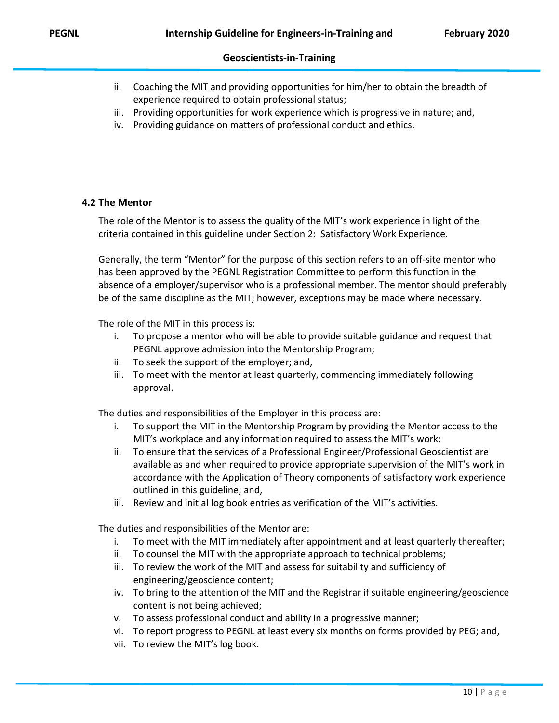- ii. Coaching the MIT and providing opportunities for him/her to obtain the breadth of experience required to obtain professional status;
- iii. Providing opportunities for work experience which is progressive in nature; and,
- iv. Providing guidance on matters of professional conduct and ethics.

#### <span id="page-10-0"></span>**4.2 The Mentor**

The role of the Mentor is to assess the quality of the MIT's work experience in light of the criteria contained in this guideline under Section 2: Satisfactory Work Experience.

Generally, the term "Mentor" for the purpose of this section refers to an off-site mentor who has been approved by the PEGNL Registration Committee to perform this function in the absence of a employer/supervisor who is a professional member. The mentor should preferably be of the same discipline as the MIT; however, exceptions may be made where necessary.

The role of the MIT in this process is:

- i. To propose a mentor who will be able to provide suitable guidance and request that PEGNL approve admission into the Mentorship Program;
- ii. To seek the support of the employer; and,
- iii. To meet with the mentor at least quarterly, commencing immediately following approval.

The duties and responsibilities of the Employer in this process are:

- i. To support the MIT in the Mentorship Program by providing the Mentor access to the MIT's workplace and any information required to assess the MIT's work;
- ii. To ensure that the services of a Professional Engineer/Professional Geoscientist are available as and when required to provide appropriate supervision of the MIT's work in accordance with the Application of Theory components of satisfactory work experience outlined in this guideline; and,
- iii. Review and initial log book entries as verification of the MIT's activities.

The duties and responsibilities of the Mentor are:

- i. To meet with the MIT immediately after appointment and at least quarterly thereafter;
- ii. To counsel the MIT with the appropriate approach to technical problems;
- iii. To review the work of the MIT and assess for suitability and sufficiency of engineering/geoscience content;
- iv. To bring to the attention of the MIT and the Registrar if suitable engineering/geoscience content is not being achieved;
- v. To assess professional conduct and ability in a progressive manner;
- vi. To report progress to PEGNL at least every six months on forms provided by PEG; and,
- vii. To review the MIT's log book.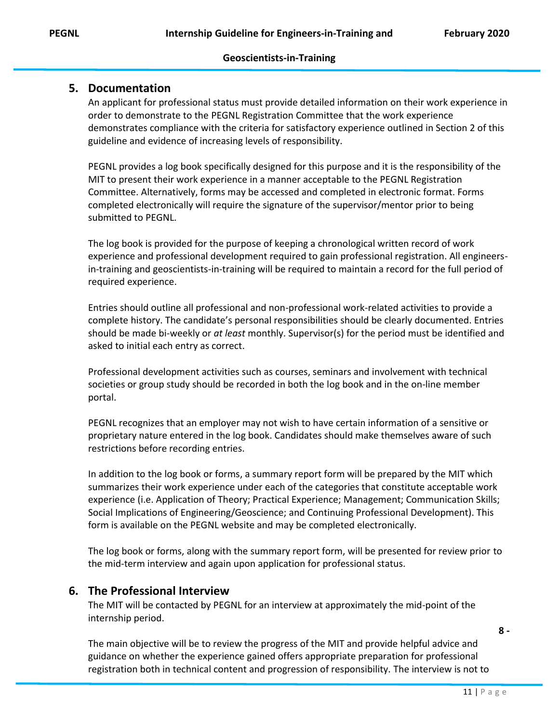#### <span id="page-11-0"></span>**5. Documentation**

An applicant for professional status must provide detailed information on their work experience in order to demonstrate to the PEGNL Registration Committee that the work experience demonstrates compliance with the criteria for satisfactory experience outlined in Section 2 of this guideline and evidence of increasing levels of responsibility.

PEGNL provides a log book specifically designed for this purpose and it is the responsibility of the MIT to present their work experience in a manner acceptable to the PEGNL Registration Committee. Alternatively, forms may be accessed and completed in electronic format. Forms completed electronically will require the signature of the supervisor/mentor prior to being submitted to PEGNL.

The log book is provided for the purpose of keeping a chronological written record of work experience and professional development required to gain professional registration. All engineersin-training and geoscientists-in-training will be required to maintain a record for the full period of required experience.

Entries should outline all professional and non-professional work-related activities to provide a complete history. The candidate's personal responsibilities should be clearly documented. Entries should be made bi-weekly or *at least* monthly. Supervisor(s) for the period must be identified and asked to initial each entry as correct.

Professional development activities such as courses, seminars and involvement with technical societies or group study should be recorded in both the log book and in the on-line member portal.

PEGNL recognizes that an employer may not wish to have certain information of a sensitive or proprietary nature entered in the log book. Candidates should make themselves aware of such restrictions before recording entries.

In addition to the log book or forms, a summary report form will be prepared by the MIT which summarizes their work experience under each of the categories that constitute acceptable work experience (i.e. Application of Theory; Practical Experience; Management; Communication Skills; Social Implications of Engineering/Geoscience; and Continuing Professional Development). This form is available on the PEGNL website and may be completed electronically.

The log book or forms, along with the summary report form, will be presented for review prior to the mid-term interview and again upon application for professional status.

#### <span id="page-11-1"></span>**6. The Professional Interview**

The MIT will be contacted by PEGNL for an interview at approximately the mid-point of the internship period.

**8 -**

The main objective will be to review the progress of the MIT and provide helpful advice and guidance on whether the experience gained offers appropriate preparation for professional registration both in technical content and progression of responsibility. The interview is not to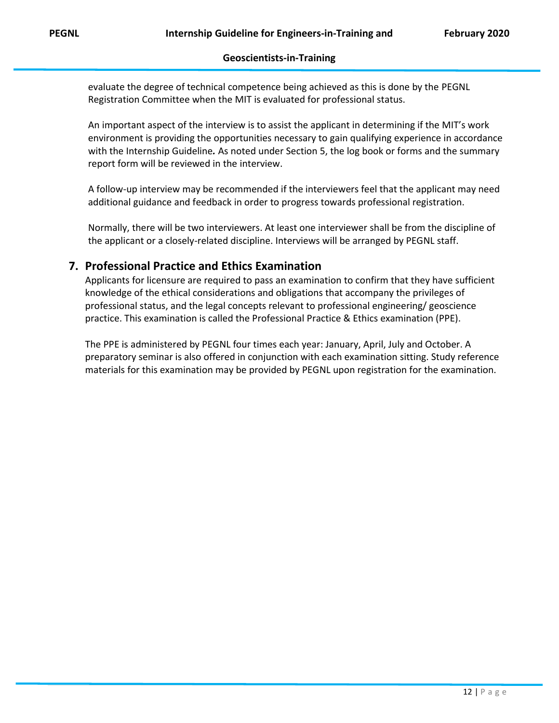evaluate the degree of technical competence being achieved as this is done by the PEGNL Registration Committee when the MIT is evaluated for professional status.

An important aspect of the interview is to assist the applicant in determining if the MIT's work environment is providing the opportunities necessary to gain qualifying experience in accordance with the Internship Guideline*.* As noted under Section 5, the log book or forms and the summary report form will be reviewed in the interview.

A follow-up interview may be recommended if the interviewers feel that the applicant may need additional guidance and feedback in order to progress towards professional registration.

Normally, there will be two interviewers. At least one interviewer shall be from the discipline of the applicant or a closely-related discipline. Interviews will be arranged by PEGNL staff.

#### <span id="page-12-0"></span>**7. Professional Practice and Ethics Examination**

Applicants for licensure are required to pass an examination to confirm that they have sufficient knowledge of the ethical considerations and obligations that accompany the privileges of professional status, and the legal concepts relevant to professional engineering/ geoscience practice. This examination is called the Professional Practice & Ethics examination (PPE).

The PPE is administered by PEGNL four times each year: January, April, July and October. A preparatory seminar is also offered in conjunction with each examination sitting. Study reference materials for this examination may be provided by PEGNL upon registration for the examination.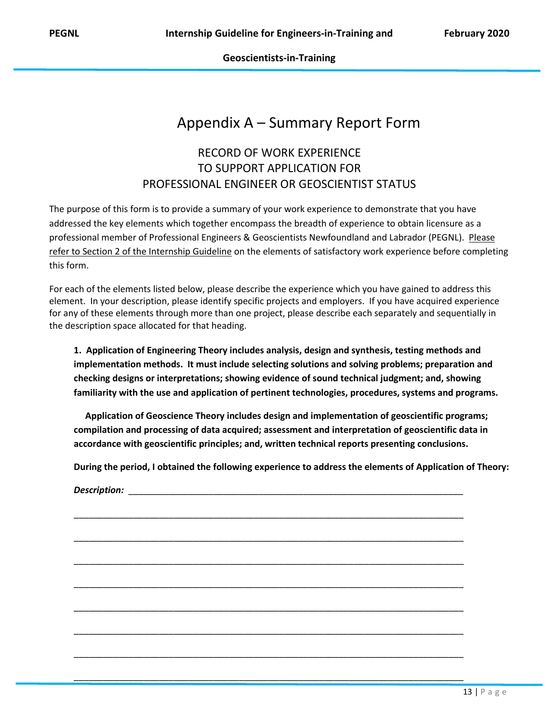### Appendix A – Summary Report Form

### RECORD OF WORK EXPERIENCE TO SUPPORT APPLICATION FOR PROFESSIONAL ENGINEER OR GEOSCIENTIST STATUS

The purpose of this form is to provide a summary of your work experience to demonstrate that you have addressed the key elements which together encompass the breadth of experience to obtain licensure as a professional member of Professional Engineers & Geoscientists Newfoundland and Labrador (PEGNL). Please refer to Section 2 of the Internship Guideline on the elements of satisfactory work experience before completing this form.

For each of the elements listed below, please describe the experience which you have gained to address this element. In your description, please identify specific projects and employers. If you have acquired experience for any of these elements through more than one project, please describe each separately and sequentially in the description space allocated for that heading.

**1. Application of Engineering Theory includes analysis, design and synthesis, testing methods and implementation methods. It must include selecting solutions and solving problems; preparation and checking designs or interpretations; showing evidence of sound technical judgment; and, showing familiarity with the use and application of pertinent technologies, procedures, systems and programs.** 

 **Application of Geoscience Theory includes design and implementation of geoscientific programs; compilation and processing of data acquired; assessment and interpretation of geoscientific data in accordance with geoscientific principles; and, written technical reports presenting conclusions.**

\_\_\_\_\_\_\_\_\_\_\_\_\_\_\_\_\_\_\_\_\_\_\_\_\_\_\_\_\_\_\_\_\_\_\_\_\_\_\_\_\_\_\_\_\_\_\_\_\_\_\_\_\_\_\_\_\_\_\_\_\_\_\_\_\_\_\_\_\_\_\_\_\_\_\_\_\_\_

\_\_\_\_\_\_\_\_\_\_\_\_\_\_\_\_\_\_\_\_\_\_\_\_\_\_\_\_\_\_\_\_\_\_\_\_\_\_\_\_\_\_\_\_\_\_\_\_\_\_\_\_\_\_\_\_\_\_\_\_\_\_\_\_\_\_\_\_\_\_\_\_\_\_\_\_\_\_

\_\_\_\_\_\_\_\_\_\_\_\_\_\_\_\_\_\_\_\_\_\_\_\_\_\_\_\_\_\_\_\_\_\_\_\_\_\_\_\_\_\_\_\_\_\_\_\_\_\_\_\_\_\_\_\_\_\_\_\_\_\_\_\_\_\_\_\_\_\_\_\_\_\_\_\_\_\_

\_\_\_\_\_\_\_\_\_\_\_\_\_\_\_\_\_\_\_\_\_\_\_\_\_\_\_\_\_\_\_\_\_\_\_\_\_\_\_\_\_\_\_\_\_\_\_\_\_\_\_\_\_\_\_\_\_\_\_\_\_\_\_\_\_\_\_\_\_\_\_\_\_\_\_\_\_\_

\_\_\_\_\_\_\_\_\_\_\_\_\_\_\_\_\_\_\_\_\_\_\_\_\_\_\_\_\_\_\_\_\_\_\_\_\_\_\_\_\_\_\_\_\_\_\_\_\_\_\_\_\_\_\_\_\_\_\_\_\_\_\_\_\_\_\_\_\_\_\_\_\_\_\_\_\_\_

\_\_\_\_\_\_\_\_\_\_\_\_\_\_\_\_\_\_\_\_\_\_\_\_\_\_\_\_\_\_\_\_\_\_\_\_\_\_\_\_\_\_\_\_\_\_\_\_\_\_\_\_\_\_\_\_\_\_\_\_\_\_\_\_\_\_\_\_\_\_\_\_\_\_\_\_\_\_

\_\_\_\_\_\_\_\_\_\_\_\_\_\_\_\_\_\_\_\_\_\_\_\_\_\_\_\_\_\_\_\_\_\_\_\_\_\_\_\_\_\_\_\_\_\_\_\_\_\_\_\_\_\_\_\_\_\_\_\_\_\_\_\_\_\_\_\_\_\_\_\_\_\_\_\_\_\_

\_\_\_\_\_\_\_\_\_\_\_\_\_\_\_\_\_\_\_\_\_\_\_\_\_\_\_\_\_\_\_\_\_\_\_\_\_\_\_\_\_\_\_\_\_\_\_\_\_\_\_\_\_\_\_\_\_\_\_\_\_\_\_\_\_\_\_\_\_\_\_\_\_\_\_\_\_\_

**During the period, I obtained the following experience to address the elements of Application of Theory:**

*Description:*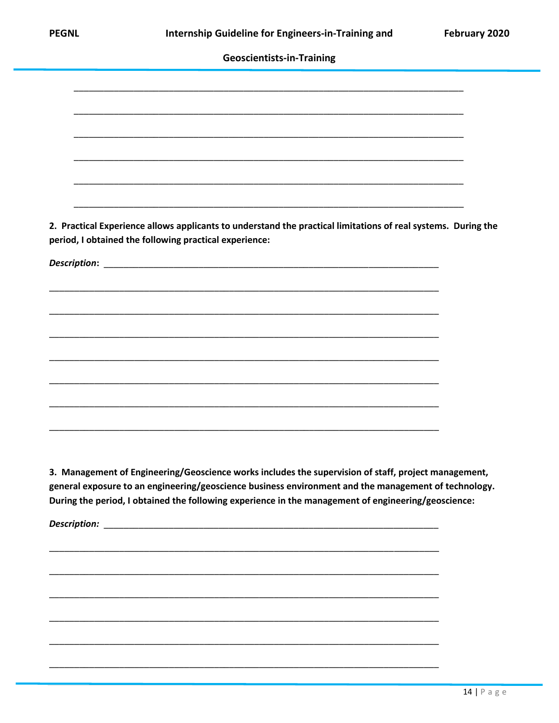| 2. Practical Experience allows applicants to understand the practical limitations of real systems. During the |  |
|---------------------------------------------------------------------------------------------------------------|--|
| period, I obtained the following practical experience:                                                        |  |
|                                                                                                               |  |
|                                                                                                               |  |
|                                                                                                               |  |
|                                                                                                               |  |
|                                                                                                               |  |
|                                                                                                               |  |
|                                                                                                               |  |
|                                                                                                               |  |
|                                                                                                               |  |
|                                                                                                               |  |
|                                                                                                               |  |
|                                                                                                               |  |
|                                                                                                               |  |
|                                                                                                               |  |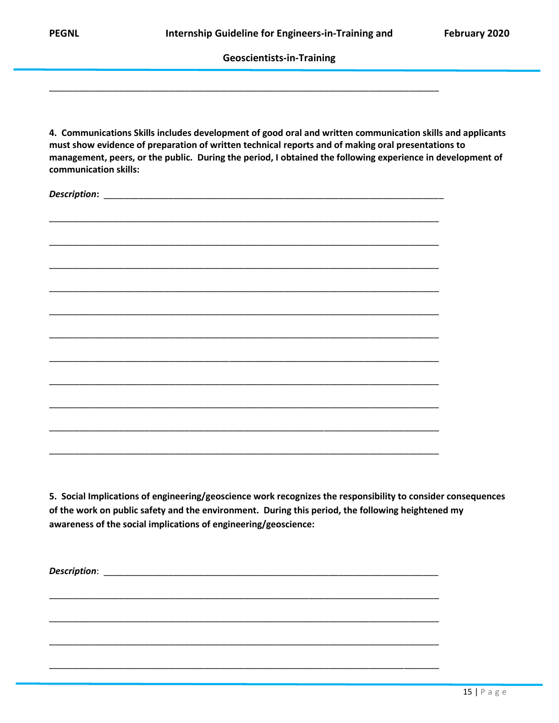| w |
|---|
|---|

\_\_\_\_\_\_\_\_\_\_\_\_\_\_\_\_\_\_\_\_\_\_\_\_\_\_\_\_\_\_\_\_\_\_\_\_\_\_\_\_\_\_\_\_\_\_\_\_\_\_\_\_\_\_\_\_\_\_\_\_\_\_\_\_\_\_\_\_\_\_\_\_\_\_\_\_\_\_

**4. Communications Skills includes development of good oral and written communication skills and applicants must show evidence of preparation of written technical reports and of making oral presentations to management, peers, or the public. During the period, I obtained the following experience in development of communication skills:**

**5. Social Implications of engineering/geoscience work recognizes the responsibility to consider consequences of the work on public safety and the environment. During this period, the following heightened my awareness of the social implications of engineering/geoscience:**

\_\_\_\_\_\_\_\_\_\_\_\_\_\_\_\_\_\_\_\_\_\_\_\_\_\_\_\_\_\_\_\_\_\_\_\_\_\_\_\_\_\_\_\_\_\_\_\_\_\_\_\_\_\_\_\_\_\_\_\_\_\_\_\_\_\_\_\_\_\_\_\_\_\_\_\_\_\_

\_\_\_\_\_\_\_\_\_\_\_\_\_\_\_\_\_\_\_\_\_\_\_\_\_\_\_\_\_\_\_\_\_\_\_\_\_\_\_\_\_\_\_\_\_\_\_\_\_\_\_\_\_\_\_\_\_\_\_\_\_\_\_\_\_\_\_\_\_\_\_\_\_\_\_\_\_\_

\_\_\_\_\_\_\_\_\_\_\_\_\_\_\_\_\_\_\_\_\_\_\_\_\_\_\_\_\_\_\_\_\_\_\_\_\_\_\_\_\_\_\_\_\_\_\_\_\_\_\_\_\_\_\_\_\_\_\_\_\_\_\_\_\_\_\_\_\_\_\_\_\_\_\_\_\_\_

\_\_\_\_\_\_\_\_\_\_\_\_\_\_\_\_\_\_\_\_\_\_\_\_\_\_\_\_\_\_\_\_\_\_\_\_\_\_\_\_\_\_\_\_\_\_\_\_\_\_\_\_\_\_\_\_\_\_\_\_\_\_\_\_\_\_\_\_\_\_\_\_\_\_\_\_\_\_

*Description*: \_\_\_\_\_\_\_\_\_\_\_\_\_\_\_\_\_\_\_\_\_\_\_\_\_\_\_\_\_\_\_\_\_\_\_\_\_\_\_\_\_\_\_\_\_\_\_\_\_\_\_\_\_\_\_\_\_\_\_\_\_\_\_\_\_\_\_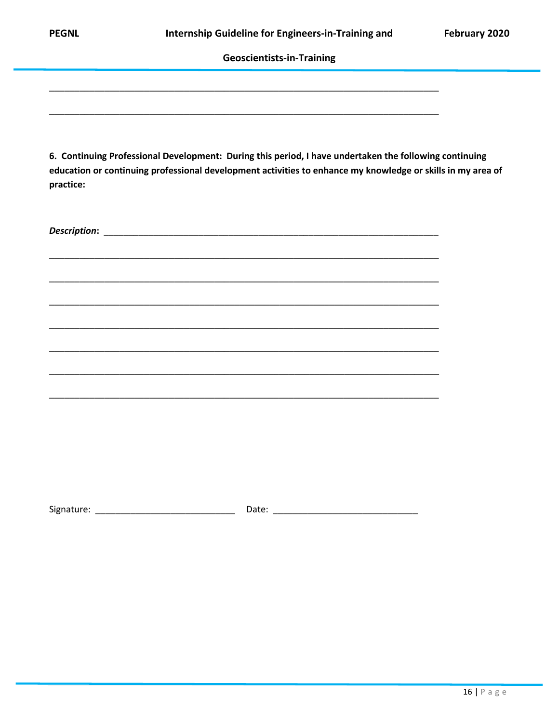| w |
|---|
|---|

6. Continuing Professional Development: During this period, I have undertaken the following continuing education or continuing professional development activities to enhance my knowledge or skills in my area of practice: